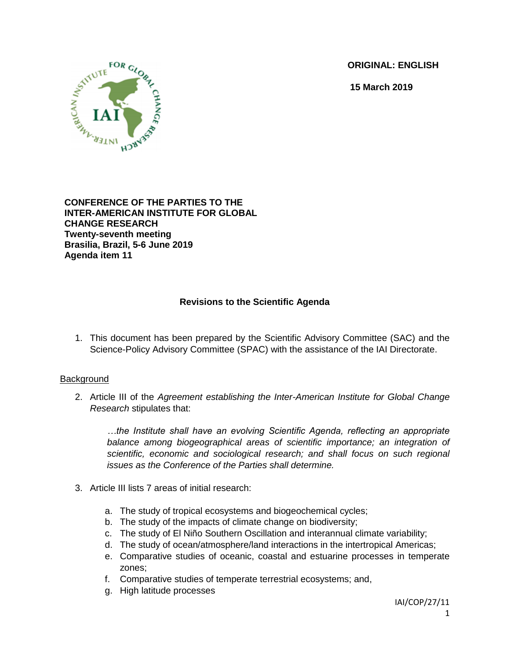**ORIGINAL: ENGLISH**

**15 March 2019**



**CONFERENCE OF THE PARTIES TO THE INTER-AMERICAN INSTITUTE FOR GLOBAL CHANGE RESEARCH Twenty-seventh meeting Brasilia, Brazil, 5-6 June 2019 Agenda item 11**

# **Revisions to the Scientific Agenda**

1. This document has been prepared by the Scientific Advisory Committee (SAC) and the Science-Policy Advisory Committee (SPAC) with the assistance of the IAI Directorate.

### **Background**

2. Article III of the *Agreement establishing the Inter-American Institute for Global Change Research* stipulates that:

*…the Institute shall have an evolving Scientific Agenda, reflecting an appropriate balance among biogeographical areas of scientific importance; an integration of scientific, economic and sociological research; and shall focus on such regional issues as the Conference of the Parties shall determine.*

- 3. Article III lists 7 areas of initial research:
	- a. The study of tropical ecosystems and biogeochemical cycles;
	- b. The study of the impacts of climate change on biodiversity;
	- c. The study of El Niño Southern Oscillation and interannual climate variability;
	- d. The study of ocean/atmosphere/land interactions in the intertropical Americas;
	- e. Comparative studies of oceanic, coastal and estuarine processes in temperate zones;
	- f. Comparative studies of temperate terrestrial ecosystems; and,
	- g. High latitude processes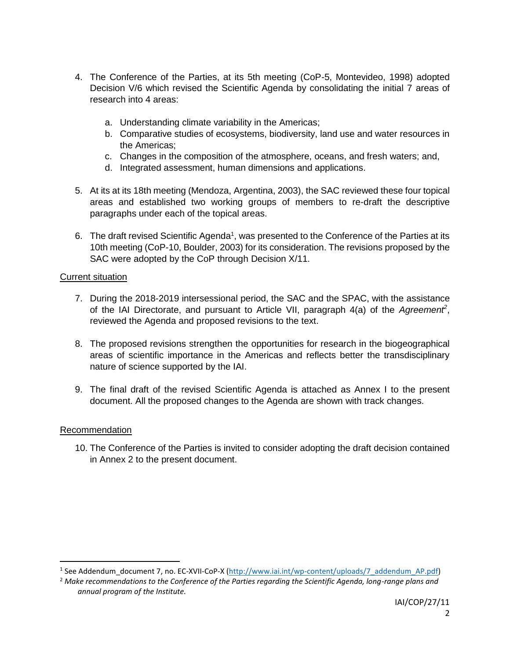- 4. The Conference of the Parties, at its 5th meeting (CoP-5, Montevideo, 1998) adopted Decision V/6 which revised the Scientific Agenda by consolidating the initial 7 areas of research into 4 areas:
	- a. Understanding climate variability in the Americas;
	- b. Comparative studies of ecosystems, biodiversity, land use and water resources in the Americas;
	- c. Changes in the composition of the atmosphere, oceans, and fresh waters; and,
	- d. Integrated assessment, human dimensions and applications.
- 5. At its at its 18th meeting (Mendoza, Argentina, 2003), the SAC reviewed these four topical areas and established two working groups of members to re-draft the descriptive paragraphs under each of the topical areas.
- 6. The draft revised Scientific Agenda<sup>1</sup>, was presented to the Conference of the Parties at its 10th meeting (CoP-10, Boulder, 2003) for its consideration. The revisions proposed by the SAC were adopted by the CoP through Decision X/11.

### Current situation

- 7. During the 2018-2019 intersessional period, the SAC and the SPAC, with the assistance of the IAI Directorate, and pursuant to Article VII, paragraph 4(a) of the *Agreement<sup>2</sup>* , reviewed the Agenda and proposed revisions to the text.
- 8. The proposed revisions strengthen the opportunities for research in the biogeographical areas of scientific importance in the Americas and reflects better the transdisciplinary nature of science supported by the IAI.
- 9. The final draft of the revised Scientific Agenda is attached as Annex I to the present document. All the proposed changes to the Agenda are shown with track changes.

### Recommendation

 $\overline{\phantom{a}}$ 

10. The Conference of the Parties is invited to consider adopting the draft decision contained in Annex 2 to the present document.

<sup>&</sup>lt;sup>1</sup> See Addendum\_document 7, no. EC-XVII-CoP-X [\(http://www.iai.int/wp-content/uploads/7\\_addendum\\_AP.pdf\)](http://www.iai.int/wp-content/uploads/7_addendum_AP.pdf)

<sup>2</sup> *Make recommendations to the Conference of the Parties regarding the Scientific Agenda, long-range plans and annual program of the Institute.*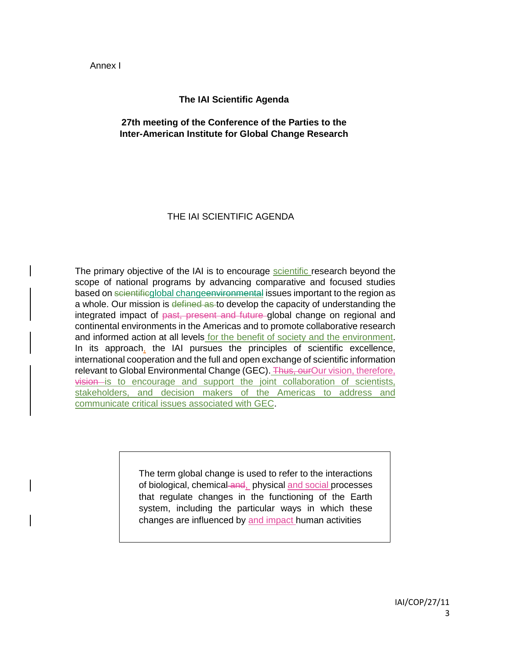Annex I

### **The IAI Scientific Agenda**

### **27th meeting of the Conference of the Parties to the Inter-American Institute for Global Change Research**

# THE IAI SCIENTIFIC AGENDA

The primary objective of the IAI is to encourage scientific research beyond the scope of national programs by advancing comparative and focused studies based on scientificglobal changeenvironmental issues important to the region as a whole. Our mission is defined as to develop the capacity of understanding the integrated impact of past, present and future global change on regional and continental environments in the Americas and to promote collaborative research and informed action at all levels for the benefit of society and the environment. In its approach, the IAI pursues the principles of scientific excellence, international cooperation and the full and open exchange of scientific information relevant to Global Environmental Change (GEC). Thus, our Our vision, therefore, vision is to encourage and support the joint collaboration of scientists, stakeholders, and decision makers of the Americas to address and communicate critical issues associated with GEC.

> The term global change is used to refer to the interactions of biological, chemical and, physical and social processes that regulate changes in the functioning of the Earth system, including the particular ways in which these changes are influenced by and impact human activities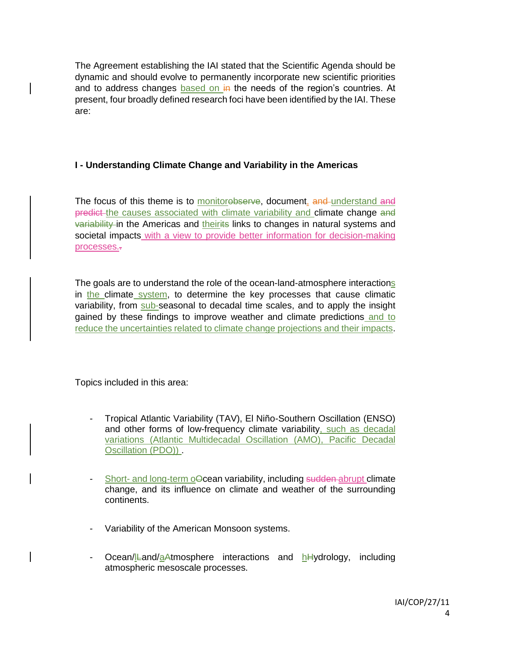The Agreement establishing the IAI stated that the Scientific Agenda should be dynamic and should evolve to permanently incorporate new scientific priorities and to address changes based on  $\frac{1}{2}$  the needs of the region's countries. At present, four broadly defined research foci have been identified by the IAI. These are:

### **I - Understanding Climate Change and Variability in the Americas**

The focus of this theme is to monitorebserve, document, and understand and predict the causes associated with climate variability and climate change and variability in the Americas and theirits links to changes in natural systems and societal impacts with a view to provide better information for decision-making processes.-

The goals are to understand the role of the ocean-land-atmosphere interactions in the climate system, to determine the key processes that cause climatic variability, from sub-seasonal to decadal time scales, and to apply the insight gained by these findings to improve weather and climate predictions and to reduce the uncertainties related to climate change projections and their impacts.

Topics included in this area:

- Tropical Atlantic Variability (TAV), El Niño-Southern Oscillation (ENSO) and other forms of low-frequency climate variability, such as decadal variations (Atlantic Multidecadal Oscillation (AMO), Pacific Decadal Oscillation (PDO)) .
- Short- and long-term oOcean variability, including sudden abrupt climate change, and its influence on climate and weather of the surrounding continents.
- Variability of the American Monsoon systems.
- Ocean/Land/aAtmosphere interactions and hHydrology, including atmospheric mesoscale processes.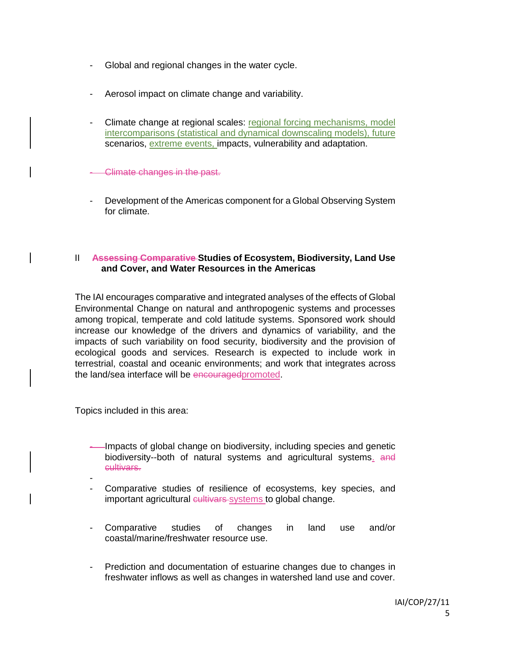- Global and regional changes in the water cycle.
- Aerosol impact on climate change and variability.
- Climate change at regional scales: regional forcing mechanisms, model intercomparisons (statistical and dynamical downscaling models), future scenarios, extreme events, impacts, vulnerability and adaptation.

- Climate changes in the past.

- Development of the Americas component for a Global Observing System for climate.

#### II **Assessing Comparative Studies of Ecosystem, Biodiversity, Land Use and Cover, and Water Resources in the Americas**

The IAI encourages comparative and integrated analyses of the effects of Global Environmental Change on natural and anthropogenic systems and processes among tropical, temperate and cold latitude systems. Sponsored work should increase our knowledge of the drivers and dynamics of variability, and the impacts of such variability on food security, biodiversity and the provision of ecological goods and services. Research is expected to include work in terrestrial, coastal and oceanic environments; and work that integrates across the land/sea interface will be encouragedpromoted.

Topics included in this area:

- Impacts of global change on biodiversity, including species and genetic biodiversity--both of natural systems and agricultural systems. and cultivars.
- Comparative studies of resilience of ecosystems, key species, and important agricultural eultivars systems to global change.
- Comparative studies of changes in land use and/or coastal/marine/freshwater resource use.
- Prediction and documentation of estuarine changes due to changes in freshwater inflows as well as changes in watershed land use and cover.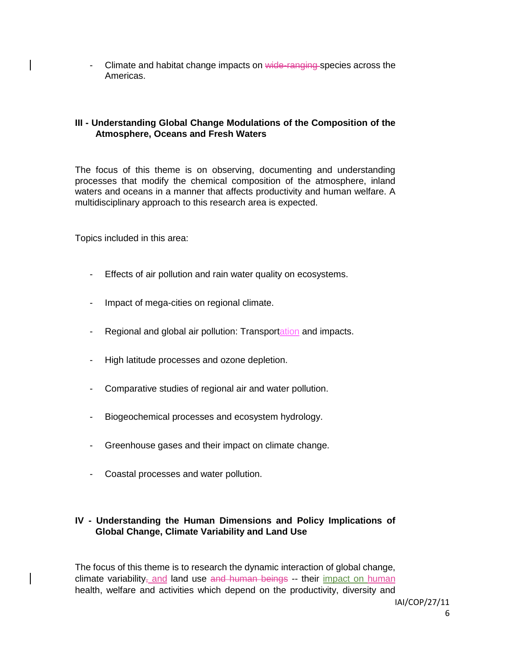- Climate and habitat change impacts on wide-ranging species across the Americas.

### **III - Understanding Global Change Modulations of the Composition of the Atmosphere, Oceans and Fresh Waters**

The focus of this theme is on observing, documenting and understanding processes that modify the chemical composition of the atmosphere, inland waters and oceans in a manner that affects productivity and human welfare. A multidisciplinary approach to this research area is expected.

Topics included in this area:

- Effects of air pollution and rain water quality on ecosystems.
- Impact of mega-cities on regional climate.
- Regional and global air pollution: Transportation and impacts.
- High latitude processes and ozone depletion.
- Comparative studies of regional air and water pollution.
- Biogeochemical processes and ecosystem hydrology.
- Greenhouse gases and their impact on climate change.
- Coastal processes and water pollution.

### **IV - Understanding the Human Dimensions and Policy Implications of Global Change, Climate Variability and Land Use**

The focus of this theme is to research the dynamic interaction of global change, climate variability, and land use and human beings  $-$  their impact on human health, welfare and activities which depend on the productivity, diversity and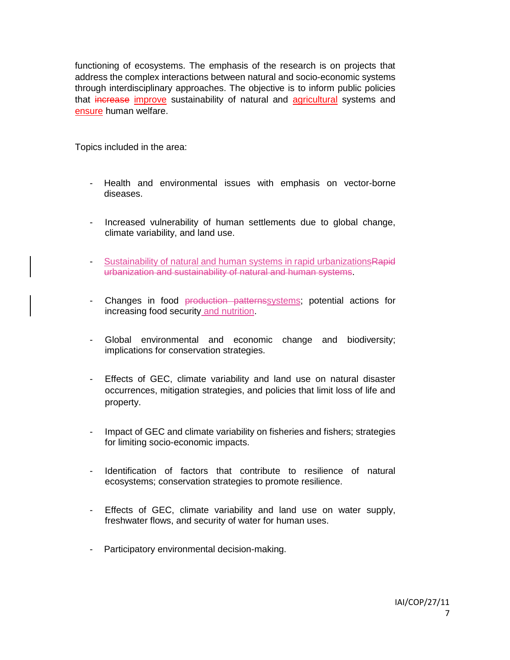functioning of ecosystems. The emphasis of the research is on projects that address the complex interactions between natural and socio-economic systems through interdisciplinary approaches. The objective is to inform public policies that increase improve sustainability of natural and agricultural systems and ensure human welfare.

Topics included in the area:

- Health and environmental issues with emphasis on vector-borne diseases.
- Increased vulnerability of human settlements due to global change, climate variability, and land use.
- Sustainability of natural and human systems in rapid urbanizations Rapid urbanization and sustainability of natural and human systems.
- Changes in food production patternssystems; potential actions for increasing food security and nutrition.
- Global environmental and economic change and biodiversity; implications for conservation strategies.
- Effects of GEC, climate variability and land use on natural disaster occurrences, mitigation strategies, and policies that limit loss of life and property.
- Impact of GEC and climate variability on fisheries and fishers; strategies for limiting socio-economic impacts.
- Identification of factors that contribute to resilience of natural ecosystems; conservation strategies to promote resilience.
- Effects of GEC, climate variability and land use on water supply, freshwater flows, and security of water for human uses.
- Participatory environmental decision-making.